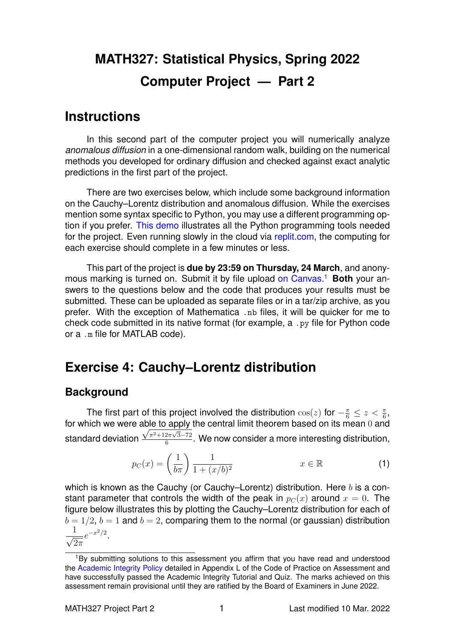# **MATH327: Statistical Physics, Spring 2022 Computer Project — Part 2**

# **Instructions**

In this second part of the computer project you will numerically analyze *anomalous diffusion* in a one-dimensional random walk, building on the numerical methods you developed for ordinary diffusion and checked against exact analytic predictions in the first part of the project.

There are two exercises below, which include some background information on the Cauchy–Lorentz distribution and anomalous diffusion. While the exercises mention some syntax specific to Python, you may use a different programming op-tion if you prefer. [This demo](https://tinyurl.com/math327demo) illustrates all the Python programming tools needed for the project. Even running slowly in the cloud via [replit.com,](https://replit.com/languages/python3) the computing for each exercise should complete in a few minutes or less.

This part of the project is **due by 23:59 on Thursday, 24 March**, and anonymous marking is turned on. Submit it by file upload [on Canvas.](https://liverpool.instructure.com/courses/47333/assignments/178543) [1](#page-0-0) **Both** your answers to the questions below and the code that produces your results must be submitted. These can be uploaded as separate files or in a tar/zip archive, as you prefer. With the exception of Mathematica .nb files, it will be quicker for me to check code submitted in its native format (for example, a .py file for Python code or a .m file for MATLAB code).

# **Exercise 4: Cauchy–Lorentz distribution**

## **Background**

The first part of this project involved the distribution  $\cos(z)$  for  $-\frac{\pi}{6} \leq z < \frac{\pi}{6}$ , for which we were able to apply the central limit theorem based on its mean  $0$  and standard deviation  $\frac{\sqrt{\pi^2+12\pi\sqrt{3}-72}}{6}$  $\frac{2\pi\sqrt{3}-72}{6}$ . We now consider a more interesting distribution,

<span id="page-0-1"></span>
$$
p_C(x) = \left(\frac{1}{b\pi}\right) \frac{1}{1 + (x/b)^2} \qquad x \in \mathbb{R} \tag{1}
$$

which is known as the Cauchy (or Cauchy–Lorentz) distribution. Here  $b$  is a constant parameter that controls the width of the peak in  $p_C(x)$  around  $x = 0$ . The figure below illustrates this by plotting the Cauchy–Lorentz distribution for each of  $b = 1/2$ ,  $b = 1$  and  $b = 2$ , comparing them to the normal (or gaussian) distribution  $\frac{1}{\sqrt{2}}$  $2\pi$  $e^{-x^2/2}$ .

<span id="page-0-0"></span><sup>&</sup>lt;sup>1</sup>By submitting solutions to this assessment you affirm that you have read and understood the [Academic Integrity Policy](https://www.liverpool.ac.uk/media/livacuk/tqsd/code-of-practice-on-assessment/appendix_L_cop_assess.pdf) detailed in Appendix L of the Code of Practice on Assessment and have successfully passed the Academic Integrity Tutorial and Quiz. The marks achieved on this assessment remain provisional until they are ratified by the Board of Examiners in June 2022.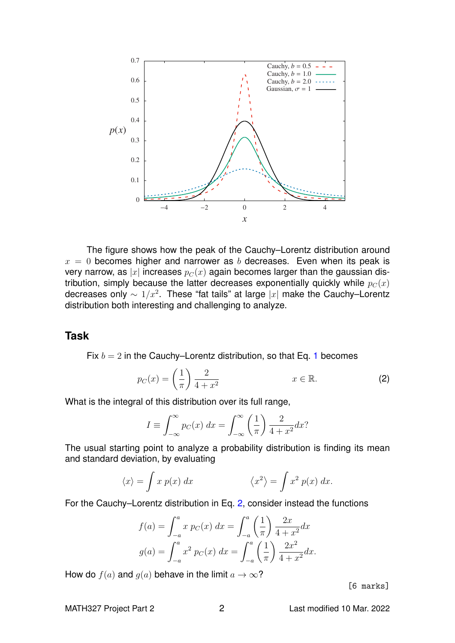

The figure shows how the peak of the Cauchy–Lorentz distribution around  $x = 0$  becomes higher and narrower as b decreases. Even when its peak is very narrow, as |x| increases  $p_C(x)$  again becomes larger than the gaussian distribution, simply because the latter decreases exponentially quickly while  $p_C(x)$ decreases only  $\sim 1/x^2$ . These "fat tails" at large  $|x|$  make the Cauchy–Lorentz distribution both interesting and challenging to analyze.

#### **Task**

Fix  $b = 2$  in the Cauchy–Lorentz distribution, so that Eq. [1](#page-0-1) becomes

$$
p_C(x) = \left(\frac{1}{\pi}\right) \frac{2}{4+x^2} \qquad x \in \mathbb{R}.\tag{2}
$$

What is the integral of this distribution over its full range,

$$
I \equiv \int_{-\infty}^{\infty} p_C(x) \, dx = \int_{-\infty}^{\infty} \left(\frac{1}{\pi}\right) \frac{2}{4 + x^2} dx?
$$

The usual starting point to analyze a probability distribution is finding its mean and standard deviation, by evaluating

$$
\langle x \rangle = \int x \, p(x) \, dx \qquad \langle x^2 \rangle = \int x^2 \, p(x) \, dx.
$$

For the Cauchy–Lorentz distribution in Eq. [2,](#page-1-0) consider instead the functions

$$
f(a) = \int_{-a}^{a} x \, p_C(x) \, dx = \int_{-a}^{a} \left(\frac{1}{\pi}\right) \frac{2x}{4 + x^2} dx
$$

$$
g(a) = \int_{-a}^{a} x^2 \, p_C(x) \, dx = \int_{-a}^{a} \left(\frac{1}{\pi}\right) \frac{2x^2}{4 + x^2} dx.
$$

How do  $f(a)$  and  $g(a)$  behave in the limit  $a \to \infty$ ?

<span id="page-1-0"></span>[6 marks]

#### MATH327 Project Part 2 2 Last modified 10 Mar. 2022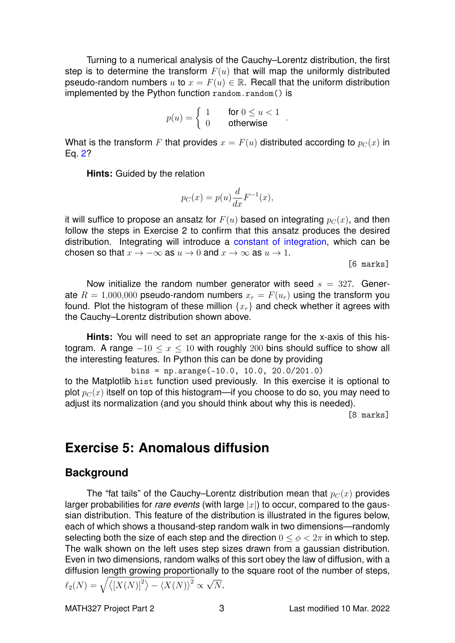Turning to a numerical analysis of the Cauchy–Lorentz distribution, the first step is to determine the transform  $F(u)$  that will map the uniformly distributed pseudo-random numbers u to  $x = F(u) \in \mathbb{R}$ . Recall that the uniform distribution implemented by the Python function random.random() is

$$
p(u) = \begin{cases} 1 & \text{for } 0 \le u < 1 \\ 0 & \text{otherwise} \end{cases}.
$$

What is the transform F that provides  $x = F(u)$  distributed according to  $p_C(x)$  in Eq. [2?](#page-1-0)

**Hints:** Guided by the relation

$$
p_C(x) = p(u)\frac{d}{dx}F^{-1}(x),
$$

it will suffice to propose an ansatz for  $F(u)$  based on integrating  $p_C(x)$ , and then follow the steps in Exercise 2 to confirm that this ansatz produces the desired distribution. Integrating will introduce a [constant of integration,](https://en.wikipedia.org/wiki/Constant_of_integration) which can be chosen so that  $x \to -\infty$  as  $u \to 0$  and  $x \to \infty$  as  $u \to 1$ .

[6 marks]

Now initialize the random number generator with seed  $s = 327$ . Generate  $R = 1,000,000$  pseudo-random numbers  $x_r = F(u_r)$  using the transform you found. Plot the histogram of these million  $\{x_r\}$  and check whether it agrees with the Cauchy–Lorentz distribution shown above.

**Hints:** You will need to set an appropriate range for the x-axis of this histogram. A range  $-10 \le x \le 10$  with roughly 200 bins should suffice to show all the interesting features. In Python this can be done by providing

bins = np.arange(-10.0, 10.0, 20.0/201.0) to the Matplotlib hist function used previously. In this exercise it is optional to plot  $p_C(x)$  itself on top of this histogram—if you choose to do so, you may need to adjust its normalization (and you should think about why this is needed).

[8 marks]

# **Exercise 5: Anomalous diffusion**

### **Background**

The "fat tails" of the Cauchy–Lorentz distribution mean that  $p_C(x)$  provides larger probabilities for *rare events* (with large  $|x|$ ) to occur, compared to the gaussian distribution. This feature of the distribution is illustrated in the figures below, each of which shows a thousand-step random walk in two dimensions—randomly selecting both the size of each step and the direction  $0 \le \phi \le 2\pi$  in which to step. The walk shown on the left uses step sizes drawn from a gaussian distribution. Even in two dimensions, random walks of this sort obey the law of diffusion, with a diffusion length growing proportionally to the square root of the number of steps, √

$$
\ell_2(N) = \sqrt{\langle \left[X(N)\right]^2 \rangle - \langle X(N)\rangle^2} \propto \sqrt{N}.
$$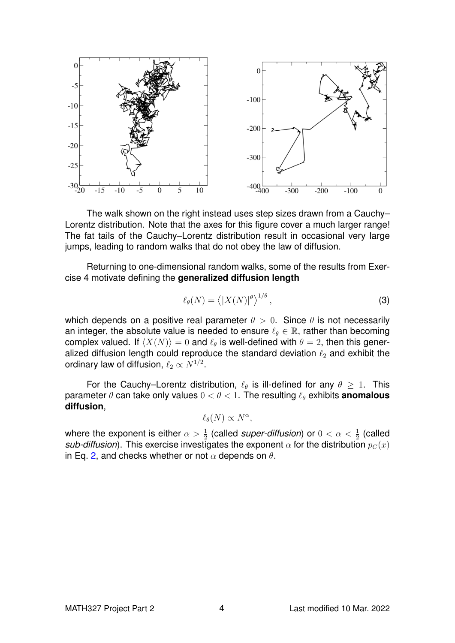

The walk shown on the right instead uses step sizes drawn from a Cauchy– Lorentz distribution. Note that the axes for this figure cover a much larger range! The fat tails of the Cauchy–Lorentz distribution result in occasional very large jumps, leading to random walks that do not obey the law of diffusion.

Returning to one-dimensional random walks, some of the results from Exercise 4 motivate defining the **generalized diffusion length**

$$
\ell_{\theta}(N) = \langle |X(N)|^{\theta} \rangle^{1/\theta}, \tag{3}
$$

which depends on a positive real parameter  $\theta > 0$ . Since  $\theta$  is not necessarily an integer, the absolute value is needed to ensure  $\ell_{\theta} \in \mathbb{R}$ , rather than becoming complex valued. If  $\langle X(N)\rangle = 0$  and  $\ell_{\theta}$  is well-defined with  $\theta = 2$ , then this generalized diffusion length could reproduce the standard deviation  $\ell_2$  and exhibit the ordinary law of diffusion,  $\ell_2 \propto N^{1/2}.$ 

For the Cauchy–Lorentz distribution,  $\ell_{\theta}$  is ill-defined for any  $\theta \geq 1$ . This parameter  $\theta$  can take only values  $0 < \theta < 1$ . The resulting  $\ell_{\theta}$  exhibits **anomalous diffusion**,

$$
\ell_{\theta}(N) \propto N^{\alpha},
$$

where the exponent is either  $\alpha>\frac{1}{2}$  (called *super-diffusion*) or  $0<\alpha<\frac{1}{2}$  (called *sub-diffusion*). This exercise investigates the exponent  $\alpha$  for the distribution  $p_C(x)$ in Eq. [2,](#page-1-0) and checks whether or not  $\alpha$  depends on  $\theta$ .